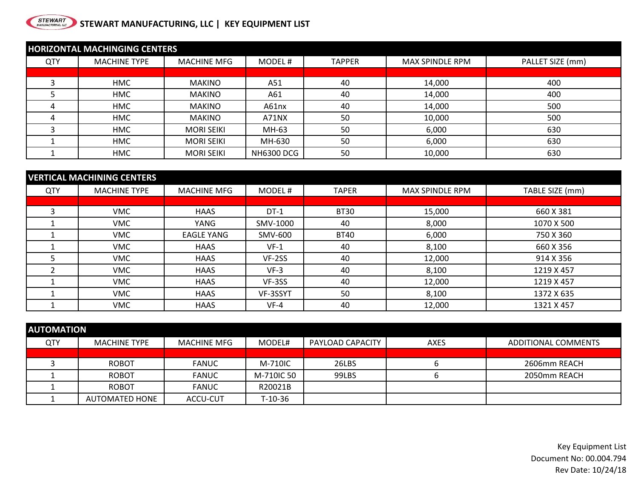## **STEWART STEWART MANUFACTURING, LLC | KEY EQUIPMENT LIST**

| <b>HORIZONTAL MACHINGING CENTERS</b> |                     |                    |                   |               |                 |                  |  |
|--------------------------------------|---------------------|--------------------|-------------------|---------------|-----------------|------------------|--|
| QTY                                  | <b>MACHINE TYPE</b> | <b>MACHINE MFG</b> | MODEL#            | <b>TAPPER</b> | MAX SPINDLE RPM | PALLET SIZE (mm) |  |
|                                      |                     |                    |                   |               |                 |                  |  |
|                                      | <b>HMC</b>          | <b>MAKINO</b>      | A51               | 40            | 14,000          | 400              |  |
|                                      | <b>HMC</b>          | <b>MAKINO</b>      | A61               | 40            | 14,000          | 400              |  |
|                                      | <b>HMC</b>          | <b>MAKINO</b>      | A61nx             | 40            | 14,000          | 500              |  |
| 4                                    | <b>HMC</b>          | <b>MAKINO</b>      | A71NX             | 50            | 10,000          | 500              |  |
|                                      | <b>HMC</b>          | <b>MORI SEIKI</b>  | MH-63             | 50            | 6,000           | 630              |  |
|                                      | <b>HMC</b>          | <b>MORI SEIKI</b>  | MH-630            | 50            | 6,000           | 630              |  |
|                                      | <b>HMC</b>          | <b>MORI SEIKI</b>  | <b>NH6300 DCG</b> | 50            | 10,000          | 630              |  |

| <b>VERTICAL MACHINING CENTERS</b> |                     |                    |          |              |                        |                 |  |
|-----------------------------------|---------------------|--------------------|----------|--------------|------------------------|-----------------|--|
| QTY                               | <b>MACHINE TYPE</b> | <b>MACHINE MFG</b> | MODEL#   | <b>TAPER</b> | <b>MAX SPINDLE RPM</b> | TABLE SIZE (mm) |  |
|                                   |                     |                    |          |              |                        |                 |  |
|                                   | <b>VMC</b>          | <b>HAAS</b>        | $DT-1$   | <b>BT30</b>  | 15,000                 | 660 X 381       |  |
|                                   | <b>VMC</b>          | YANG               | SMV-1000 | 40           | 8,000                  | 1070 X 500      |  |
|                                   | <b>VMC</b>          | <b>EAGLE YANG</b>  | SMV-600  | <b>BT40</b>  | 6,000                  | 750 X 360       |  |
|                                   | <b>VMC</b>          | <b>HAAS</b>        | $VF-1$   | 40           | 8,100                  | 660 X 356       |  |
|                                   | <b>VMC</b>          | <b>HAAS</b>        | VF-2SS   | 40           | 12,000                 | 914 X 356       |  |
|                                   | <b>VMC</b>          | <b>HAAS</b>        | $VF-3$   | 40           | 8,100                  | 1219 X 457      |  |
|                                   | <b>VMC</b>          | <b>HAAS</b>        | VF-3SS   | 40           | 12,000                 | 1219 X 457      |  |
|                                   | <b>VMC</b>          | <b>HAAS</b>        | VF-3SSYT | 50           | 8,100                  | 1372 X 635      |  |
|                                   | <b>VMC</b>          | <b>HAAS</b>        | $VF-4$   | 40           | 12,000                 | 1321 X 457      |  |

| <b>AUTOMATION</b> |                     |              |            |                  |             |                     |  |  |
|-------------------|---------------------|--------------|------------|------------------|-------------|---------------------|--|--|
| <b>QTY</b>        | <b>MACHINE TYPE</b> | MACHINE MFG  | MODEL#     | PAYLOAD CAPACITY | <b>AXES</b> | ADDITIONAL COMMENTS |  |  |
|                   |                     |              |            |                  |             |                     |  |  |
|                   | <b>ROBOT</b>        | <b>FANUC</b> | M-710IC    | 26LBS            |             | 2606mm REACH        |  |  |
|                   | <b>ROBOT</b>        | <b>FANUC</b> | M-710IC 50 | 99LBS            |             | 2050mm REACH        |  |  |
|                   | <b>ROBOT</b>        | <b>FANUC</b> | R20021B    |                  |             |                     |  |  |
|                   | AUTOMATED HONE      | ACCU-CUT     | T-10-36    |                  |             |                     |  |  |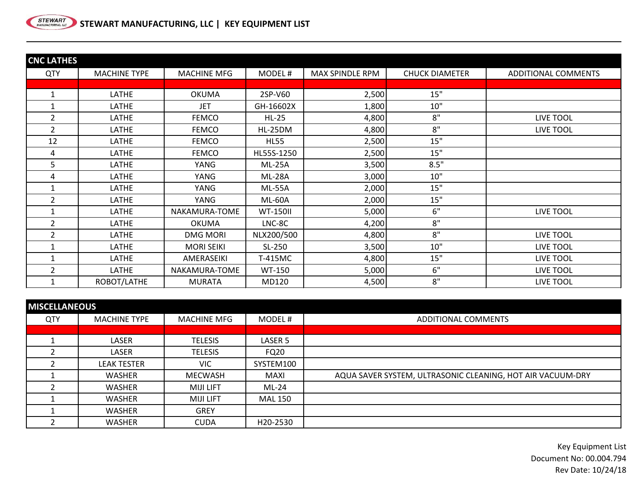

| <b>CNC LATHES</b> |                     |                    |                 |                 |                       |                     |
|-------------------|---------------------|--------------------|-----------------|-----------------|-----------------------|---------------------|
| <b>QTY</b>        | <b>MACHINE TYPE</b> | <b>MACHINE MFG</b> | MODEL#          | MAX SPINDLE RPM | <b>CHUCK DIAMETER</b> | ADDITIONAL COMMENTS |
|                   |                     |                    |                 |                 |                       |                     |
|                   | LATHE               | <b>OKUMA</b>       | 2SP-V60         | 2,500           | 15"                   |                     |
|                   | LATHE               | JET                | GH-16602X       | 1,800           | 10"                   |                     |
| $\overline{2}$    | LATHE               | <b>FEMCO</b>       | $HL-25$         | 4,800           | 8"                    | <b>LIVE TOOL</b>    |
| $\overline{2}$    | LATHE               | <b>FEMCO</b>       | HL-25DM         | 4,800           | 8"                    | LIVE TOOL           |
| 12                | LATHE               | <b>FEMCO</b>       | <b>HL55</b>     | 2,500           | 15"                   |                     |
| 4                 | LATHE               | <b>FEMCO</b>       | HL55S-1250      | 2,500           | 15"                   |                     |
| 5                 | LATHE               | YANG               | <b>ML-25A</b>   | 3,500           | 8.5"                  |                     |
| 4                 | LATHE               | YANG               | <b>ML-28A</b>   | 3,000           | 10"                   |                     |
|                   | LATHE               | YANG               | <b>ML-55A</b>   | 2,000           | 15"                   |                     |
| $\overline{2}$    | LATHE               | YANG               | <b>ML-60A</b>   | 2,000           | 15"                   |                     |
| 1                 | LATHE               | NAKAMURA-TOME      | <b>WT-150II</b> | 5,000           | 6"                    | LIVE TOOL           |
| $\overline{2}$    | LATHE               | <b>OKUMA</b>       | LNC-8C          | 4,200           | 8"                    |                     |
| $\overline{2}$    | LATHE               | <b>DMG MORI</b>    | NLX200/500      | 4,800           | 8"                    | <b>LIVE TOOL</b>    |
|                   | LATHE               | <b>MORI SEIKI</b>  | SL-250          | 3,500           | 10"                   | LIVE TOOL           |
|                   | LATHE               | AMERASEIKI         | T-415MC         | 4,800           | 15"                   | <b>LIVE TOOL</b>    |
| $\overline{2}$    | LATHE               | NAKAMURA-TOME      | <b>WT-150</b>   | 5,000           | 6"                    | LIVE TOOL           |
|                   | ROBOT/LATHE         | <b>MURATA</b>      | MD120           | 4,500           | 8"                    | <b>LIVE TOOL</b>    |

| <b>MISCELLANEOUS</b> |                     |                    |                |                                                            |  |  |  |
|----------------------|---------------------|--------------------|----------------|------------------------------------------------------------|--|--|--|
| QTY                  | <b>MACHINE TYPE</b> | <b>MACHINE MFG</b> | MODEL#         | <b>ADDITIONAL COMMENTS</b>                                 |  |  |  |
|                      |                     |                    |                |                                                            |  |  |  |
|                      | LASER               | <b>TELESIS</b>     | LASER 5        |                                                            |  |  |  |
|                      | LASER               | <b>TELESIS</b>     | FQ20           |                                                            |  |  |  |
|                      | <b>LEAK TESTER</b>  | <b>VIC</b>         | SYSTEM100      |                                                            |  |  |  |
|                      | <b>WASHER</b>       | <b>MECWASH</b>     | MAXI           | AQUA SAVER SYSTEM, ULTRASONIC CLEANING, HOT AIR VACUUM-DRY |  |  |  |
|                      | <b>WASHER</b>       | <b>MIJI LIFT</b>   | $ML-24$        |                                                            |  |  |  |
|                      | <b>WASHER</b>       | <b>MIJI LIFT</b>   | <b>MAL 150</b> |                                                            |  |  |  |
|                      | <b>WASHER</b>       | <b>GREY</b>        |                |                                                            |  |  |  |
|                      | <b>WASHER</b>       | <b>CUDA</b>        | H20-2530       |                                                            |  |  |  |

Key Equipment List Document No: 00.004.794 Rev Date: 10/24/18